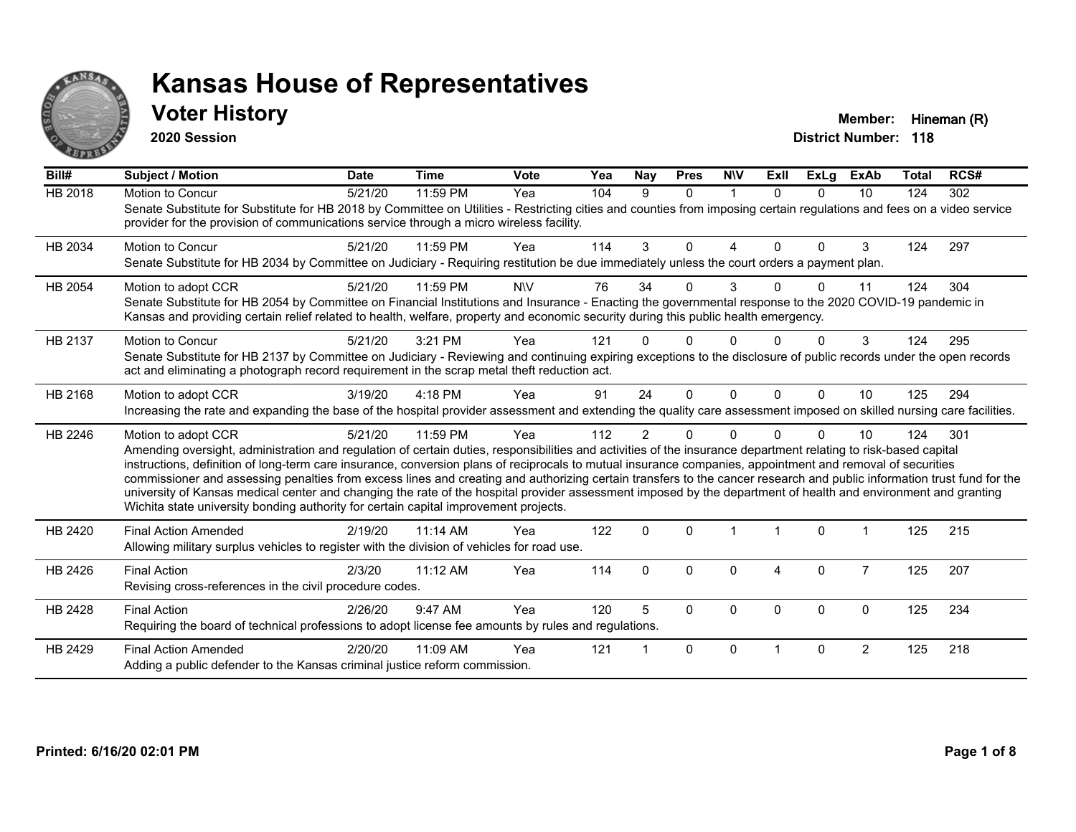

### **Voter History Member:** Hineman (R)

**2020 Session**

| Bill#          | <b>Subject / Motion</b>                                                                                                                                                                                                                                                                                                                                                                                                                                                                                                                                                                                                                                                                                                                                                                  | <b>Date</b> | <b>Time</b> | <b>Vote</b> | Yea | <b>Nay</b>     | <b>Pres</b>  | <b>NIV</b>  | Exll                 | <b>ExLg</b>  | <b>ExAb</b>    | <b>Total</b> | RCS# |
|----------------|------------------------------------------------------------------------------------------------------------------------------------------------------------------------------------------------------------------------------------------------------------------------------------------------------------------------------------------------------------------------------------------------------------------------------------------------------------------------------------------------------------------------------------------------------------------------------------------------------------------------------------------------------------------------------------------------------------------------------------------------------------------------------------------|-------------|-------------|-------------|-----|----------------|--------------|-------------|----------------------|--------------|----------------|--------------|------|
| <b>HB 2018</b> | Motion to Concur<br>Senate Substitute for Substitute for HB 2018 by Committee on Utilities - Restricting cities and counties from imposing certain regulations and fees on a video service<br>provider for the provision of communications service through a micro wireless facility.                                                                                                                                                                                                                                                                                                                                                                                                                                                                                                    | 5/21/20     | 11:59 PM    | Yea         | 104 | 9              | $\Omega$     | $\mathbf 1$ | $\Omega$             | $\Omega$     | 10             | 124          | 302  |
| HB 2034        | <b>Motion to Concur</b><br>Senate Substitute for HB 2034 by Committee on Judiciary - Requiring restitution be due immediately unless the court orders a payment plan.                                                                                                                                                                                                                                                                                                                                                                                                                                                                                                                                                                                                                    | 5/21/20     | 11:59 PM    | Yea         | 114 | 3              | $\Omega$     | 4           | $\Omega$             | $\Omega$     | 3              | 124          | 297  |
| HB 2054        | Motion to adopt CCR<br>Senate Substitute for HB 2054 by Committee on Financial Institutions and Insurance - Enacting the governmental response to the 2020 COVID-19 pandemic in<br>Kansas and providing certain relief related to health, welfare, property and economic security during this public health emergency.                                                                                                                                                                                                                                                                                                                                                                                                                                                                   | 5/21/20     | 11:59 PM    | <b>NIV</b>  | 76  | 34             | $\Omega$     | 3           |                      | <sup>0</sup> | 11             | 124          | 304  |
| HB 2137        | <b>Motion to Concur</b><br>Senate Substitute for HB 2137 by Committee on Judiciary - Reviewing and continuing expiring exceptions to the disclosure of public records under the open records<br>act and eliminating a photograph record requirement in the scrap metal theft reduction act.                                                                                                                                                                                                                                                                                                                                                                                                                                                                                              | 5/21/20     | 3:21 PM     | Yea         | 121 |                | U            |             |                      |              | 3              | 124          | 295  |
| HB 2168        | Motion to adopt CCR<br>Increasing the rate and expanding the base of the hospital provider assessment and extending the quality care assessment imposed on skilled nursing care facilities.                                                                                                                                                                                                                                                                                                                                                                                                                                                                                                                                                                                              | 3/19/20     | 4:18 PM     | Yea         | 91  | 24             | $\Omega$     | $\Omega$    | $\Omega$             | $\Omega$     | 10             | 125          | 294  |
| HB 2246        | Motion to adopt CCR<br>Amending oversight, administration and regulation of certain duties, responsibilities and activities of the insurance department relating to risk-based capital<br>instructions, definition of long-term care insurance, conversion plans of reciprocals to mutual insurance companies, appointment and removal of securities<br>commissioner and assessing penalties from excess lines and creating and authorizing certain transfers to the cancer research and public information trust fund for the<br>university of Kansas medical center and changing the rate of the hospital provider assessment imposed by the department of health and environment and granting<br>Wichita state university bonding authority for certain capital improvement projects. | 5/21/20     | 11:59 PM    | Yea         | 112 | $\overline{2}$ | $\Omega$     | $\Omega$    |                      | $\Omega$     | 10             | 124          | 301  |
| HB 2420        | <b>Final Action Amended</b><br>Allowing military surplus vehicles to register with the division of vehicles for road use.                                                                                                                                                                                                                                                                                                                                                                                                                                                                                                                                                                                                                                                                | 2/19/20     | 11:14 AM    | Yea         | 122 | $\Omega$       | $\Omega$     |             | $\blacktriangleleft$ | $\Omega$     |                | 125          | 215  |
| HB 2426        | <b>Final Action</b><br>Revising cross-references in the civil procedure codes.                                                                                                                                                                                                                                                                                                                                                                                                                                                                                                                                                                                                                                                                                                           | 2/3/20      | 11:12 AM    | Yea         | 114 | $\mathbf{0}$   | $\Omega$     | $\Omega$    | 4                    | 0            | $\overline{7}$ | 125          | 207  |
| HB 2428        | <b>Final Action</b><br>Requiring the board of technical professions to adopt license fee amounts by rules and regulations.                                                                                                                                                                                                                                                                                                                                                                                                                                                                                                                                                                                                                                                               | 2/26/20     | 9:47 AM     | Yea         | 120 | 5              | $\Omega$     | $\Omega$    | $\Omega$             | $\Omega$     | $\mathbf 0$    | 125          | 234  |
| HB 2429        | <b>Final Action Amended</b><br>Adding a public defender to the Kansas criminal justice reform commission.                                                                                                                                                                                                                                                                                                                                                                                                                                                                                                                                                                                                                                                                                | 2/20/20     | 11:09 AM    | Yea         | 121 |                | $\mathbf{0}$ | $\Omega$    |                      | $\Omega$     | $\overline{2}$ | 125          | 218  |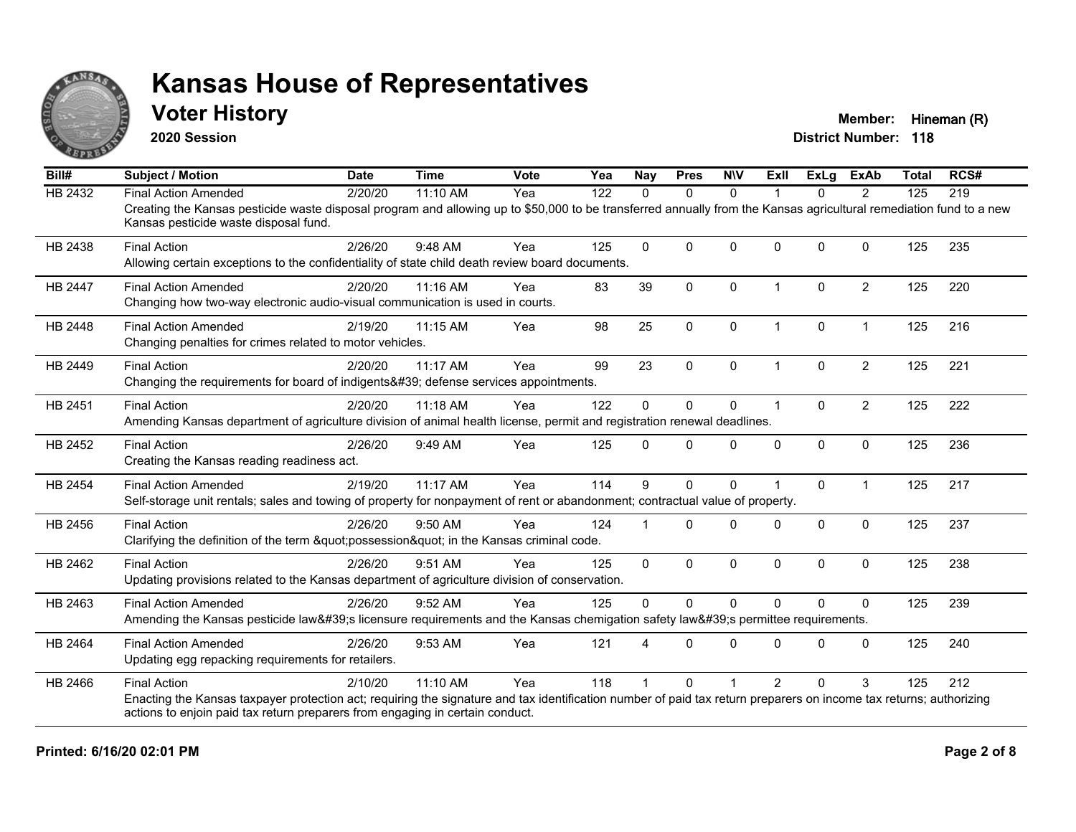

### **Voter History Member:** Hineman (R)

**2020 Session**

| Bill#          | <b>Subject / Motion</b>                                                                                                                                                                                     | <b>Date</b> | <b>Time</b> | <b>Vote</b> | Yea | <b>Nay</b> | <b>Pres</b>  | <b>NIV</b>  | Exll                 | <b>ExLg</b>  | <b>ExAb</b>    | <b>Total</b> | RCS# |
|----------------|-------------------------------------------------------------------------------------------------------------------------------------------------------------------------------------------------------------|-------------|-------------|-------------|-----|------------|--------------|-------------|----------------------|--------------|----------------|--------------|------|
| HB 2432        | <b>Final Action Amended</b>                                                                                                                                                                                 | 2/20/20     | 11:10 AM    | Yea         | 122 | $\Omega$   | $\Omega$     | $\Omega$    | 1                    | $\Omega$     | 2              | 125          | 219  |
|                | Creating the Kansas pesticide waste disposal program and allowing up to \$50,000 to be transferred annually from the Kansas agricultural remediation fund to a new<br>Kansas pesticide waste disposal fund. |             |             |             |     |            |              |             |                      |              |                |              |      |
| HB 2438        | <b>Final Action</b>                                                                                                                                                                                         | 2/26/20     | 9:48 AM     | Yea         | 125 | $\Omega$   | $\mathbf{0}$ | $\Omega$    | $\Omega$             | $\mathbf{0}$ | $\Omega$       | 125          | 235  |
|                | Allowing certain exceptions to the confidentiality of state child death review board documents.                                                                                                             |             |             |             |     |            |              |             |                      |              |                |              |      |
| <b>HB 2447</b> | <b>Final Action Amended</b>                                                                                                                                                                                 | 2/20/20     | 11:16 AM    | Yea         | 83  | 39         | $\mathbf{0}$ | $\Omega$    | $\blacktriangleleft$ | $\Omega$     | $\overline{2}$ | 125          | 220  |
|                | Changing how two-way electronic audio-visual communication is used in courts.                                                                                                                               |             |             |             |     |            |              |             |                      |              |                |              |      |
| <b>HB 2448</b> | <b>Final Action Amended</b>                                                                                                                                                                                 | 2/19/20     | 11:15 AM    | Yea         | 98  | 25         | $\mathbf 0$  | $\mathbf 0$ | $\mathbf 1$          | 0            | $\mathbf{1}$   | 125          | 216  |
|                | Changing penalties for crimes related to motor vehicles.                                                                                                                                                    |             |             |             |     |            |              |             |                      |              |                |              |      |
| HB 2449        | <b>Final Action</b>                                                                                                                                                                                         | 2/20/20     | 11:17 AM    | Yea         | 99  | 23         | $\mathbf{0}$ | $\Omega$    | 1                    | $\Omega$     | $\overline{2}$ | 125          | 221  |
|                | Changing the requirements for board of indigents' defense services appointments.                                                                                                                            |             |             |             |     |            |              |             |                      |              |                |              |      |
| HB 2451        | <b>Final Action</b>                                                                                                                                                                                         | 2/20/20     | 11:18 AM    | Yea         | 122 | 0          | $\mathbf 0$  | $\mathbf 0$ | 1                    | $\Omega$     | $\overline{c}$ | 125          | 222  |
|                | Amending Kansas department of agriculture division of animal health license, permit and registration renewal deadlines.                                                                                     |             |             |             |     |            |              |             |                      |              |                |              |      |
| HB 2452        | <b>Final Action</b>                                                                                                                                                                                         | 2/26/20     | 9:49 AM     | Yea         | 125 | 0          | $\Omega$     | $\Omega$    | $\Omega$             | $\Omega$     | $\mathbf 0$    | 125          | 236  |
|                | Creating the Kansas reading readiness act.                                                                                                                                                                  |             |             |             |     |            |              |             |                      |              |                |              |      |
| <b>HB 2454</b> | <b>Final Action Amended</b>                                                                                                                                                                                 | 2/19/20     | 11:17 AM    | Yea         | 114 | 9          | $\mathbf{0}$ | $\Omega$    |                      | $\Omega$     | $\mathbf{1}$   | 125          | 217  |
|                | Self-storage unit rentals; sales and towing of property for nonpayment of rent or abandonment; contractual value of property.                                                                               |             |             |             |     |            |              |             |                      |              |                |              |      |
| HB 2456        | <b>Final Action</b>                                                                                                                                                                                         | 2/26/20     | $9:50$ AM   | Yea         | 124 |            | $\Omega$     | $\Omega$    | $\Omega$             | $\Omega$     | $\mathbf{0}$   | 125          | 237  |
|                | Clarifying the definition of the term "possession" in the Kansas criminal code.                                                                                                                             |             |             |             |     |            |              |             |                      |              |                |              |      |
| HB 2462        | <b>Final Action</b>                                                                                                                                                                                         | 2/26/20     | 9:51 AM     | Yea         | 125 | $\Omega$   | $\mathbf{0}$ | $\Omega$    | $\mathbf{0}$         | $\Omega$     | $\mathbf{0}$   | 125          | 238  |
|                | Updating provisions related to the Kansas department of agriculture division of conservation.                                                                                                               |             |             |             |     |            |              |             |                      |              |                |              |      |
| HB 2463        | <b>Final Action Amended</b>                                                                                                                                                                                 | 2/26/20     | 9:52 AM     | Yea         | 125 | $\Omega$   | $\Omega$     | $\Omega$    | $\Omega$             | $\Omega$     | $\Omega$       | 125          | 239  |
|                | Amending the Kansas pesticide law's licensure requirements and the Kansas chemigation safety law's permittee requirements.                                                                                  |             |             |             |     |            |              |             |                      |              |                |              |      |
| HB 2464        | <b>Final Action Amended</b>                                                                                                                                                                                 | 2/26/20     | 9:53 AM     | Yea         | 121 |            | $\Omega$     | $\Omega$    | $\Omega$             | $\Omega$     | $\Omega$       | 125          | 240  |
|                | Updating egg repacking requirements for retailers.                                                                                                                                                          |             |             |             |     |            |              |             |                      |              |                |              |      |
| HB 2466        | <b>Final Action</b>                                                                                                                                                                                         | 2/10/20     | $11:10$ AM  | Yea         | 118 |            | 0            |             | $\mathcal{P}$        | $\Omega$     | 3              | 125          | 212  |
|                | Enacting the Kansas taxpayer protection act; requiring the signature and tax identification number of paid tax return preparers on income tax returns; authorizing                                          |             |             |             |     |            |              |             |                      |              |                |              |      |
|                | actions to enjoin paid tax return preparers from engaging in certain conduct.                                                                                                                               |             |             |             |     |            |              |             |                      |              |                |              |      |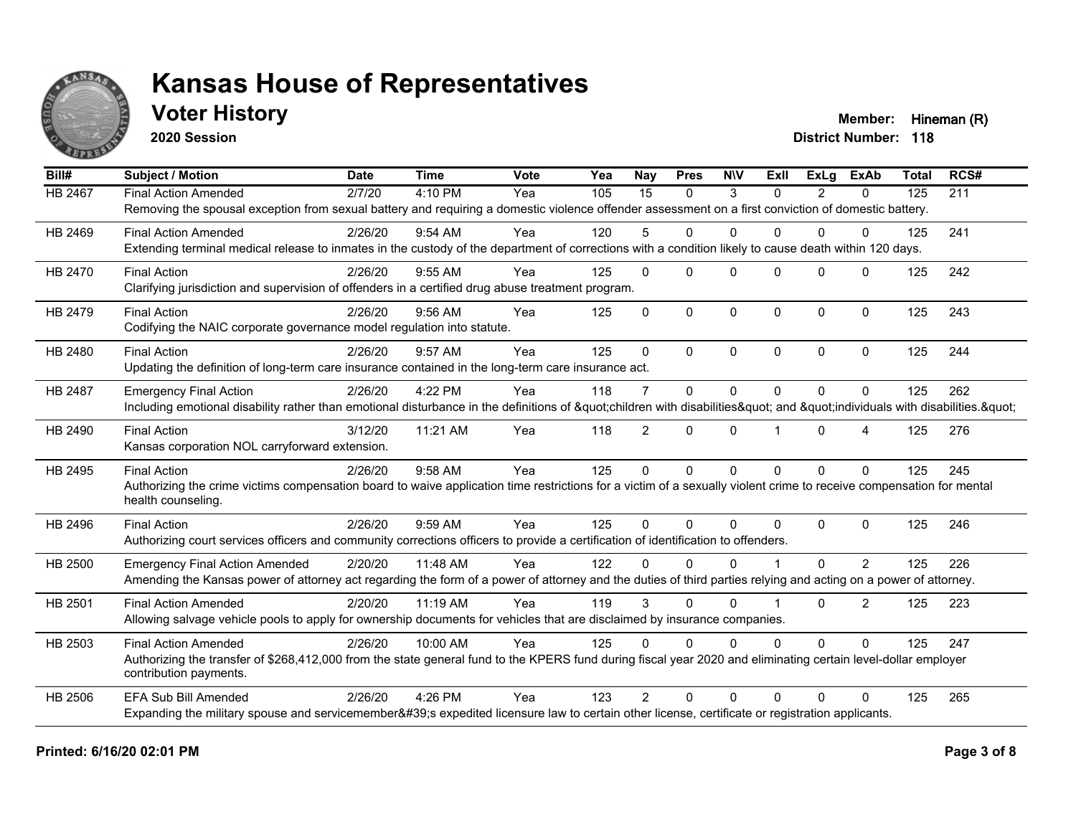

**2020 Session**

**Voter History Member:** Hineman (R)

| Bill#   | <b>Subject / Motion</b>                                                                                                                                                                 | <b>Date</b> | <b>Time</b> | Vote | Yea | <b>Nay</b>     | <b>Pres</b>  | <b>NIV</b> | ExII     | ExLa           | <b>ExAb</b>    | <b>Total</b> | RCS# |
|---------|-----------------------------------------------------------------------------------------------------------------------------------------------------------------------------------------|-------------|-------------|------|-----|----------------|--------------|------------|----------|----------------|----------------|--------------|------|
| HB 2467 | <b>Final Action Amended</b>                                                                                                                                                             | 2/7/20      | 4:10 PM     | Yea  | 105 | 15             | $\Omega$     | 3          | $\Omega$ | $\overline{2}$ | $\mathbf{0}$   | 125          | 211  |
|         | Removing the spousal exception from sexual battery and requiring a domestic violence offender assessment on a first conviction of domestic battery.                                     |             |             |      |     |                |              |            |          |                |                |              |      |
| HB 2469 | <b>Final Action Amended</b>                                                                                                                                                             | 2/26/20     | $9:54$ AM   | Yea  | 120 | 5              | $\mathbf{0}$ | $\Omega$   | $\Omega$ | $\Omega$       | 0              | 125          | 241  |
|         | Extending terminal medical release to inmates in the custody of the department of corrections with a condition likely to cause death within 120 days.                                   |             |             |      |     |                |              |            |          |                |                |              |      |
| HB 2470 | <b>Final Action</b>                                                                                                                                                                     | 2/26/20     | $9:55$ AM   | Yea  | 125 | $\Omega$       | $\Omega$     | $\Omega$   | $\Omega$ | $\Omega$       | $\Omega$       | 125          | 242  |
|         | Clarifying jurisdiction and supervision of offenders in a certified drug abuse treatment program.                                                                                       |             |             |      |     |                |              |            |          |                |                |              |      |
| HB 2479 | <b>Final Action</b>                                                                                                                                                                     | 2/26/20     | 9:56 AM     | Yea  | 125 | $\Omega$       | $\mathbf 0$  | $\Omega$   | $\Omega$ | $\Omega$       | $\mathbf 0$    | 125          | 243  |
|         | Codifying the NAIC corporate governance model regulation into statute.                                                                                                                  |             |             |      |     |                |              |            |          |                |                |              |      |
| HB 2480 | <b>Final Action</b>                                                                                                                                                                     | 2/26/20     | 9:57 AM     | Yea  | 125 | $\Omega$       | $\Omega$     | $\Omega$   | $\Omega$ | $\Omega$       | $\Omega$       | 125          | 244  |
|         | Updating the definition of long-term care insurance contained in the long-term care insurance act.                                                                                      |             |             |      |     |                |              |            |          |                |                |              |      |
| HB 2487 | <b>Emergency Final Action</b>                                                                                                                                                           | 2/26/20     | 4:22 PM     | Yea  | 118 | $\overline{7}$ | $\mathbf{0}$ | $\Omega$   | $\Omega$ | $\Omega$       | $\Omega$       | 125          | 262  |
|         | Including emotional disability rather than emotional disturbance in the definitions of "children with disabilities" and "individuals with disabilities. "                               |             |             |      |     |                |              |            |          |                |                |              |      |
| HB 2490 | <b>Final Action</b>                                                                                                                                                                     | 3/12/20     | 11:21 AM    | Yea  | 118 | $\overline{2}$ | $\Omega$     | $\Omega$   |          | $\Omega$       | 4              | 125          | 276  |
|         | Kansas corporation NOL carryforward extension.                                                                                                                                          |             |             |      |     |                |              |            |          |                |                |              |      |
| HB 2495 | <b>Final Action</b>                                                                                                                                                                     | 2/26/20     | $9:58$ AM   | Yea  | 125 | $\mathbf{0}$   | $\mathbf{0}$ | $\Omega$   | $\Omega$ | $\Omega$       | $\mathbf{0}$   | 125          | 245  |
|         | Authorizing the crime victims compensation board to waive application time restrictions for a victim of a sexually violent crime to receive compensation for mental                     |             |             |      |     |                |              |            |          |                |                |              |      |
|         | health counseling.                                                                                                                                                                      |             |             |      |     |                |              |            |          |                |                |              |      |
| HB 2496 | <b>Final Action</b>                                                                                                                                                                     | 2/26/20     | 9:59 AM     | Yea  | 125 | $\Omega$       | $\Omega$     | $\Omega$   | $\Omega$ | $\Omega$       | $\mathbf 0$    | 125          | 246  |
|         | Authorizing court services officers and community corrections officers to provide a certification of identification to offenders.                                                       |             |             |      |     |                |              |            |          |                |                |              |      |
| HB 2500 | <b>Emergency Final Action Amended</b>                                                                                                                                                   | 2/20/20     | 11:48 AM    | Yea  | 122 | $\Omega$       | $\Omega$     | $\Omega$   |          | $\Omega$       | $\overline{2}$ | 125          | 226  |
|         | Amending the Kansas power of attorney act regarding the form of a power of attorney and the duties of third parties relying and acting on a power of attorney.                          |             |             |      |     |                |              |            |          |                |                |              |      |
| HB 2501 | <b>Final Action Amended</b>                                                                                                                                                             | 2/20/20     | 11:19 AM    | Yea  | 119 | 3              | $\Omega$     | $\Omega$   |          | $\Omega$       | $\overline{2}$ | 125          | 223  |
|         | Allowing salvage vehicle pools to apply for ownership documents for vehicles that are disclaimed by insurance companies.                                                                |             |             |      |     |                |              |            |          |                |                |              |      |
| HB 2503 | <b>Final Action Amended</b>                                                                                                                                                             | 2/26/20     | 10:00 AM    | Yea  | 125 | $\Omega$       | $\mathbf{0}$ | $\Omega$   | $\Omega$ | $\Omega$       | $\Omega$       | 125          | 247  |
|         | Authorizing the transfer of \$268,412,000 from the state general fund to the KPERS fund during fiscal year 2020 and eliminating certain level-dollar employer<br>contribution payments. |             |             |      |     |                |              |            |          |                |                |              |      |
|         |                                                                                                                                                                                         |             |             |      |     |                |              |            |          |                |                |              |      |
| HB 2506 | <b>EFA Sub Bill Amended</b>                                                                                                                                                             | 2/26/20     | 4:26 PM     | Yea  | 123 | $\mathcal{P}$  | $\Omega$     | $\Omega$   | $\Omega$ | $\Omega$       | $\Omega$       | 125          | 265  |
|         | Expanding the military spouse and servicemember's expedited licensure law to certain other license, certificate or registration applicants.                                             |             |             |      |     |                |              |            |          |                |                |              |      |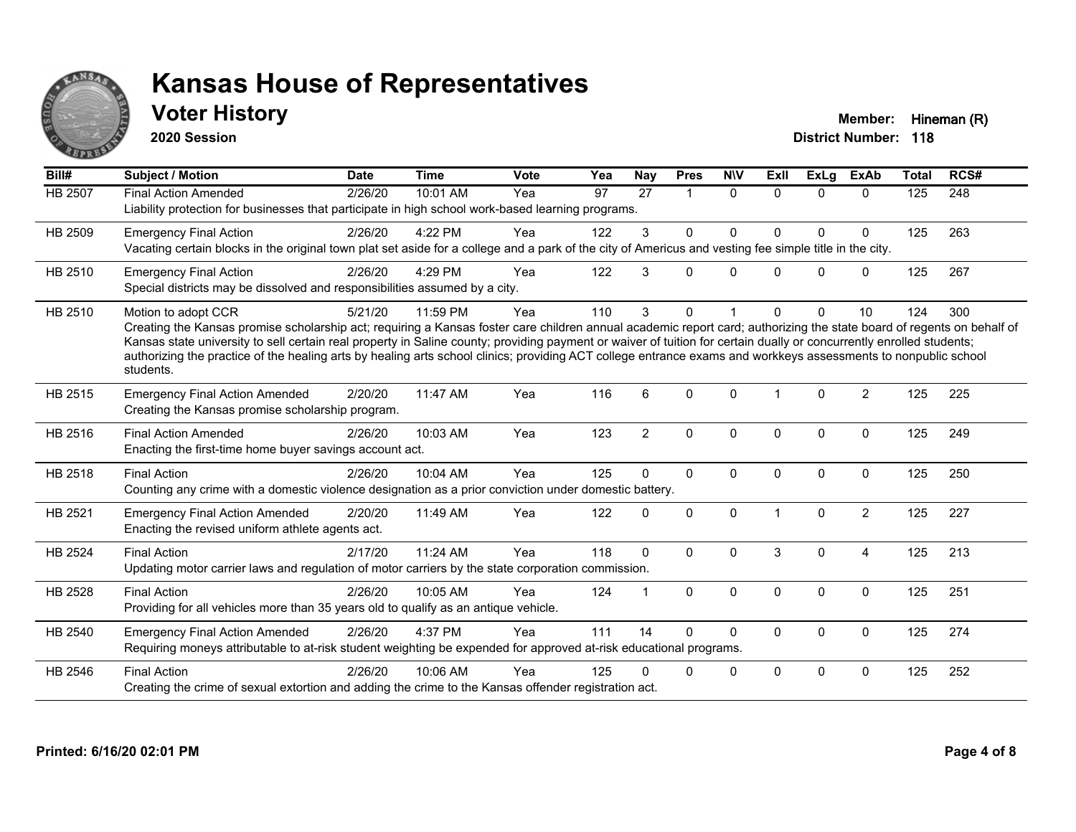

**2020 Session**

**Voter History Member:** Hineman (R)

| Bill#   | <b>Subject / Motion</b>                                                                                                                                                                                                                                                                                                                                                                                                                                                                                                                             | <b>Date</b> | <b>Time</b> | <b>Vote</b> | Yea | Nay            | <b>Pres</b>  | <b>NIV</b>   | ExII     | ExLg         | <b>ExAb</b>    | <b>Total</b> | RCS# |
|---------|-----------------------------------------------------------------------------------------------------------------------------------------------------------------------------------------------------------------------------------------------------------------------------------------------------------------------------------------------------------------------------------------------------------------------------------------------------------------------------------------------------------------------------------------------------|-------------|-------------|-------------|-----|----------------|--------------|--------------|----------|--------------|----------------|--------------|------|
| HB 2507 | <b>Final Action Amended</b><br>Liability protection for businesses that participate in high school work-based learning programs.                                                                                                                                                                                                                                                                                                                                                                                                                    | 2/26/20     | 10:01 AM    | Yea         | 97  | 27             | $\mathbf{1}$ | $\Omega$     | $\Omega$ | $\Omega$     | $\Omega$       | 125          | 248  |
| HB 2509 | <b>Emergency Final Action</b><br>Vacating certain blocks in the original town plat set aside for a college and a park of the city of Americus and vesting fee simple title in the city.                                                                                                                                                                                                                                                                                                                                                             | 2/26/20     | 4:22 PM     | Yea         | 122 | 3              | $\Omega$     | $\Omega$     | $\Omega$ | $\Omega$     | 0              | 125          | 263  |
| HB 2510 | <b>Emergency Final Action</b><br>Special districts may be dissolved and responsibilities assumed by a city.                                                                                                                                                                                                                                                                                                                                                                                                                                         | 2/26/20     | 4:29 PM     | Yea         | 122 | 3              | 0            | $\Omega$     | 0        | $\Omega$     | 0              | 125          | 267  |
| HB 2510 | Motion to adopt CCR<br>Creating the Kansas promise scholarship act; requiring a Kansas foster care children annual academic report card; authorizing the state board of regents on behalf of<br>Kansas state university to sell certain real property in Saline county; providing payment or waiver of tuition for certain dually or concurrently enrolled students;<br>authorizing the practice of the healing arts by healing arts school clinics; providing ACT college entrance exams and workkeys assessments to nonpublic school<br>students. | 5/21/20     | 11:59 PM    | Yea         | 110 | 3              | 0            |              | $\Omega$ | $\Omega$     | 10             | 124          | 300  |
| HB 2515 | <b>Emergency Final Action Amended</b><br>Creating the Kansas promise scholarship program.                                                                                                                                                                                                                                                                                                                                                                                                                                                           | 2/20/20     | 11:47 AM    | Yea         | 116 | 6              | $\Omega$     | $\Omega$     |          | $\Omega$     | $\overline{2}$ | 125          | 225  |
| HB 2516 | <b>Final Action Amended</b><br>Enacting the first-time home buyer savings account act.                                                                                                                                                                                                                                                                                                                                                                                                                                                              | 2/26/20     | 10:03 AM    | Yea         | 123 | $\overline{2}$ | 0            | $\mathbf{0}$ | $\Omega$ | $\mathbf{0}$ | 0              | 125          | 249  |
| HB 2518 | <b>Final Action</b><br>Counting any crime with a domestic violence designation as a prior conviction under domestic battery.                                                                                                                                                                                                                                                                                                                                                                                                                        | 2/26/20     | 10:04 AM    | Yea         | 125 | 0              | $\Omega$     | $\Omega$     | $\Omega$ | $\Omega$     | 0              | 125          | 250  |
| HB 2521 | <b>Emergency Final Action Amended</b><br>Enacting the revised uniform athlete agents act.                                                                                                                                                                                                                                                                                                                                                                                                                                                           | 2/20/20     | 11:49 AM    | Yea         | 122 | 0              | 0            | $\Omega$     |          | $\Omega$     | $\overline{2}$ | 125          | 227  |
| HB 2524 | <b>Final Action</b><br>Updating motor carrier laws and regulation of motor carriers by the state corporation commission.                                                                                                                                                                                                                                                                                                                                                                                                                            | 2/17/20     | 11:24 AM    | Yea         | 118 | $\Omega$       | $\Omega$     | $\Omega$     | 3        | $\Omega$     | 4              | 125          | 213  |
| HB 2528 | <b>Final Action</b><br>Providing for all vehicles more than 35 years old to qualify as an antique vehicle.                                                                                                                                                                                                                                                                                                                                                                                                                                          | 2/26/20     | 10:05 AM    | Yea         | 124 |                | $\Omega$     | $\Omega$     | $\Omega$ | $\Omega$     | $\mathbf{0}$   | 125          | 251  |
| HB 2540 | <b>Emergency Final Action Amended</b><br>Requiring moneys attributable to at-risk student weighting be expended for approved at-risk educational programs.                                                                                                                                                                                                                                                                                                                                                                                          | 2/26/20     | 4:37 PM     | Yea         | 111 | 14             | $\Omega$     | $\Omega$     | $\Omega$ | $\Omega$     | 0              | 125          | 274  |
| HB 2546 | <b>Final Action</b><br>Creating the crime of sexual extortion and adding the crime to the Kansas offender registration act.                                                                                                                                                                                                                                                                                                                                                                                                                         | 2/26/20     | 10:06 AM    | Yea         | 125 | 0              | $\Omega$     | $\mathbf{0}$ | $\Omega$ | 0            | 0              | 125          | 252  |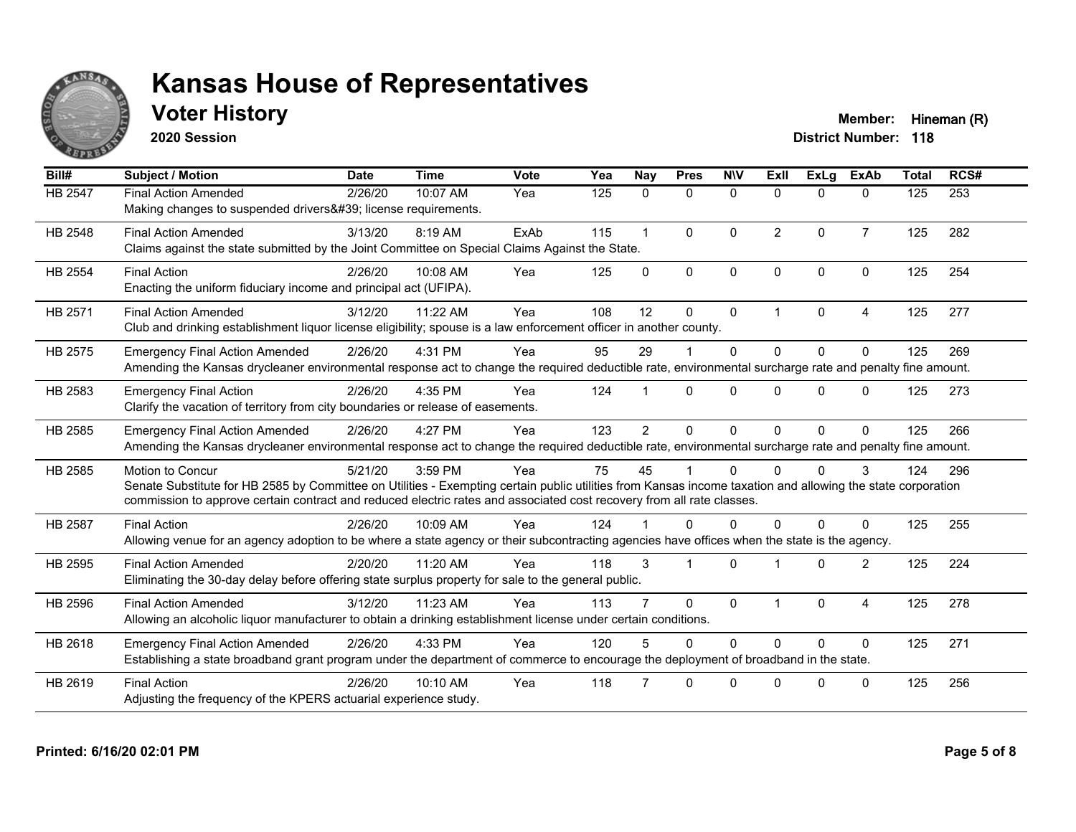

**2020 Session**

**Voter History Member:** Hineman (R)

| Bill#   | <b>Subject / Motion</b>                                                                                                                                                                                                                                                                                         | <b>Date</b> | <b>Time</b> | Vote | Yea | Nay            | <b>Pres</b>             | <b>NIV</b>   | ExII                 | <b>ExLa</b>  | <b>ExAb</b>    | <b>Total</b> | RCS# |
|---------|-----------------------------------------------------------------------------------------------------------------------------------------------------------------------------------------------------------------------------------------------------------------------------------------------------------------|-------------|-------------|------|-----|----------------|-------------------------|--------------|----------------------|--------------|----------------|--------------|------|
| HB 2547 | <b>Final Action Amended</b><br>Making changes to suspended drivers' license requirements.                                                                                                                                                                                                                       | 2/26/20     | 10:07 AM    | Yea  | 125 | 0              | 0                       | $\mathbf 0$  | $\Omega$             | $\mathbf{0}$ | $\mathbf{0}$   | 125          | 253  |
| HB 2548 | <b>Final Action Amended</b><br>Claims against the state submitted by the Joint Committee on Special Claims Against the State.                                                                                                                                                                                   | 3/13/20     | 8:19 AM     | ExAb | 115 | $\overline{1}$ | $\Omega$                | $\Omega$     | 2                    | $\Omega$     | $\overline{7}$ | 125          | 282  |
| HB 2554 | <b>Final Action</b><br>Enacting the uniform fiduciary income and principal act (UFIPA).                                                                                                                                                                                                                         | 2/26/20     | 10:08 AM    | Yea  | 125 | $\Omega$       | $\mathbf{0}$            | $\mathbf{0}$ | $\Omega$             | $\Omega$     | $\mathbf{0}$   | 125          | 254  |
| HB 2571 | <b>Final Action Amended</b><br>Club and drinking establishment liquor license eligibility; spouse is a law enforcement officer in another county.                                                                                                                                                               | 3/12/20     | 11:22 AM    | Yea  | 108 | 12             | $\Omega$                | $\Omega$     | $\blacktriangleleft$ | $\Omega$     | 4              | 125          | 277  |
| HB 2575 | <b>Emergency Final Action Amended</b><br>Amending the Kansas drycleaner environmental response act to change the required deductible rate, environmental surcharge rate and penalty fine amount.                                                                                                                | 2/26/20     | 4:31 PM     | Yea  | 95  | 29             |                         | $\Omega$     | $\Omega$             | $\Omega$     | $\Omega$       | 125          | 269  |
| HB 2583 | <b>Emergency Final Action</b><br>Clarify the vacation of territory from city boundaries or release of easements.                                                                                                                                                                                                | 2/26/20     | 4:35 PM     | Yea  | 124 |                | $\mathbf{0}$            | $\Omega$     | <sup>n</sup>         | $\Omega$     | $\Omega$       | 125          | 273  |
| HB 2585 | <b>Emergency Final Action Amended</b><br>Amending the Kansas drycleaner environmental response act to change the required deductible rate, environmental surcharge rate and penalty fine amount.                                                                                                                | 2/26/20     | 4:27 PM     | Yea  | 123 | $\overline{2}$ | $\Omega$                | $\Omega$     | $\Omega$             | $\Omega$     | $\Omega$       | 125          | 266  |
| HB 2585 | <b>Motion to Concur</b><br>Senate Substitute for HB 2585 by Committee on Utilities - Exempting certain public utilities from Kansas income taxation and allowing the state corporation<br>commission to approve certain contract and reduced electric rates and associated cost recovery from all rate classes. | 5/21/20     | 3:59 PM     | Yea  | 75  | 45             |                         | $\Omega$     |                      | $\Omega$     | 3              | 124          | 296  |
| HB 2587 | <b>Final Action</b><br>Allowing venue for an agency adoption to be where a state agency or their subcontracting agencies have offices when the state is the agency.                                                                                                                                             | 2/26/20     | 10:09 AM    | Yea  | 124 |                | $\Omega$                | $\Omega$     | $\Omega$             | $\Omega$     | $\Omega$       | 125          | 255  |
| HB 2595 | <b>Final Action Amended</b><br>Eliminating the 30-day delay before offering state surplus property for sale to the general public.                                                                                                                                                                              | 2/20/20     | 11:20 AM    | Yea  | 118 | 3              | $\overline{\mathbf{1}}$ | $\Omega$     |                      | $\Omega$     | 2              | 125          | 224  |
| HB 2596 | <b>Final Action Amended</b><br>Allowing an alcoholic liquor manufacturer to obtain a drinking establishment license under certain conditions.                                                                                                                                                                   | 3/12/20     | 11:23 AM    | Yea  | 113 |                | $\Omega$                | $\mathbf{0}$ |                      | $\Omega$     | $\overline{A}$ | 125          | 278  |
| HB 2618 | <b>Emergency Final Action Amended</b><br>Establishing a state broadband grant program under the department of commerce to encourage the deployment of broadband in the state.                                                                                                                                   | 2/26/20     | 4:33 PM     | Yea  | 120 | 5              | $\Omega$                | $\Omega$     | $\Omega$             | $\Omega$     | $\mathbf{0}$   | 125          | 271  |
| HB 2619 | <b>Final Action</b><br>Adjusting the frequency of the KPERS actuarial experience study.                                                                                                                                                                                                                         | 2/26/20     | 10:10 AM    | Yea  | 118 |                | $\Omega$                | 0            | U                    | $\Omega$     | $\Omega$       | 125          | 256  |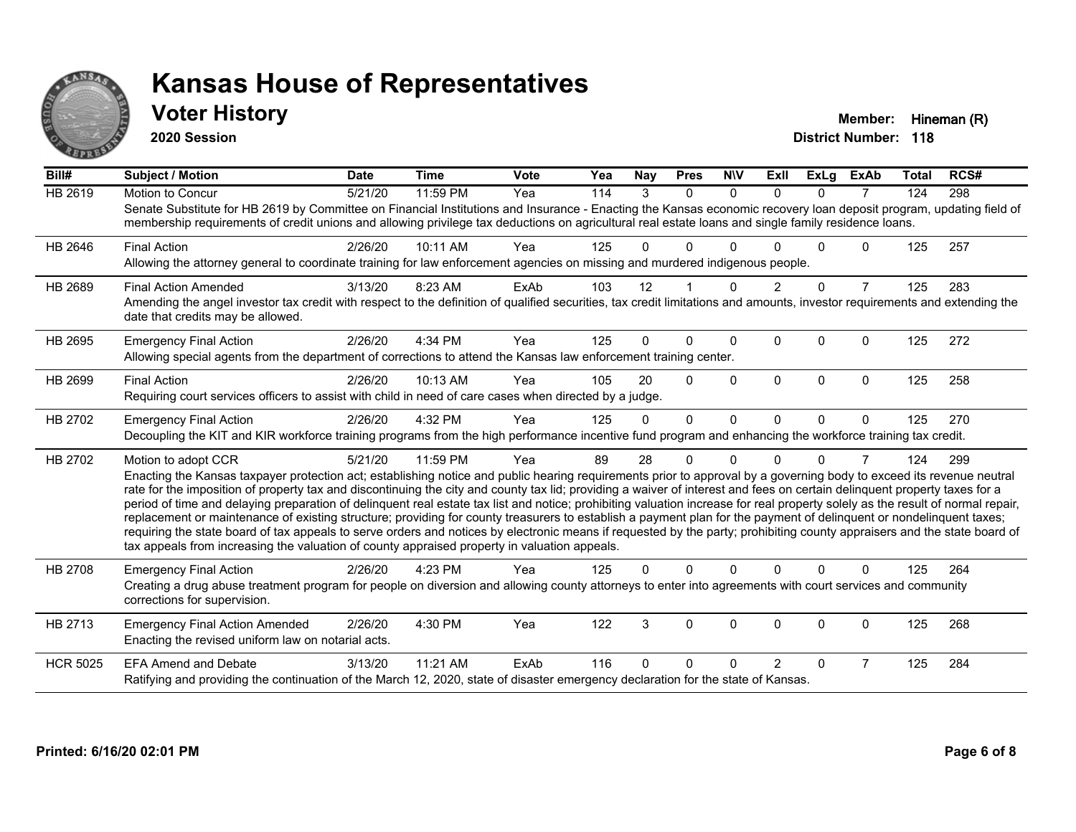

**2020 Session**

**Voter History Member:** Hineman (R)

| Bill#           | <b>Subject / Motion</b>                                                                                                                                                                                                                                                                                                                                                                                                                                                                                                                                                                                                                                                                                                                                                                                                                                                                                                                                                                                       | <b>Date</b> | <b>Time</b> | <b>Vote</b> | Yea | <b>Nay</b> | <b>Pres</b> | <b>NIV</b>   | ExII          | <b>ExLg</b> | <b>ExAb</b>    | <b>Total</b> | RCS# |
|-----------------|---------------------------------------------------------------------------------------------------------------------------------------------------------------------------------------------------------------------------------------------------------------------------------------------------------------------------------------------------------------------------------------------------------------------------------------------------------------------------------------------------------------------------------------------------------------------------------------------------------------------------------------------------------------------------------------------------------------------------------------------------------------------------------------------------------------------------------------------------------------------------------------------------------------------------------------------------------------------------------------------------------------|-------------|-------------|-------------|-----|------------|-------------|--------------|---------------|-------------|----------------|--------------|------|
| <b>HB 2619</b>  | Motion to Concur<br>Senate Substitute for HB 2619 by Committee on Financial Institutions and Insurance - Enacting the Kansas economic recovery loan deposit program, updating field of<br>membership requirements of credit unions and allowing privilege tax deductions on agricultural real estate loans and single family residence loans.                                                                                                                                                                                                                                                                                                                                                                                                                                                                                                                                                                                                                                                                 | 5/21/20     | 11:59 PM    | Yea         | 114 | 3          | $\Omega$    | $\Omega$     | $\Omega$      | $\Omega$    | 7              | 124          | 298  |
| HB 2646         | <b>Final Action</b><br>Allowing the attorney general to coordinate training for law enforcement agencies on missing and murdered indigenous people.                                                                                                                                                                                                                                                                                                                                                                                                                                                                                                                                                                                                                                                                                                                                                                                                                                                           | 2/26/20     | 10:11 AM    | Yea         | 125 | O.         | $\Omega$    | ∩            |               | U           | $\Omega$       | 125          | 257  |
| HB 2689         | <b>Final Action Amended</b><br>Amending the angel investor tax credit with respect to the definition of qualified securities, tax credit limitations and amounts, investor requirements and extending the<br>date that credits may be allowed.                                                                                                                                                                                                                                                                                                                                                                                                                                                                                                                                                                                                                                                                                                                                                                | 3/13/20     | 8:23 AM     | ExAb        | 103 | 12         |             | $\Omega$     | $\mathcal{P}$ | $\Omega$    | $\overline{7}$ | 125          | 283  |
| HB 2695         | <b>Emergency Final Action</b><br>Allowing special agents from the department of corrections to attend the Kansas law enforcement training center.                                                                                                                                                                                                                                                                                                                                                                                                                                                                                                                                                                                                                                                                                                                                                                                                                                                             | 2/26/20     | 4:34 PM     | Yea         | 125 | 0          | 0           | $\mathbf{0}$ | 0             | $\Omega$    | 0              | 125          | 272  |
| HB 2699         | <b>Final Action</b><br>Requiring court services officers to assist with child in need of care cases when directed by a judge.                                                                                                                                                                                                                                                                                                                                                                                                                                                                                                                                                                                                                                                                                                                                                                                                                                                                                 | 2/26/20     | 10:13 AM    | Yea         | 105 | 20         | $\Omega$    | $\Omega$     | $\Omega$      | $\Omega$    | $\mathbf{0}$   | 125          | 258  |
| HB 2702         | <b>Emergency Final Action</b><br>Decoupling the KIT and KIR workforce training programs from the high performance incentive fund program and enhancing the workforce training tax credit.                                                                                                                                                                                                                                                                                                                                                                                                                                                                                                                                                                                                                                                                                                                                                                                                                     | 2/26/20     | 4:32 PM     | Yea         | 125 | 0          | $\Omega$    | $\Omega$     | $\Omega$      | $\Omega$    | $\Omega$       | 125          | 270  |
| HB 2702         | Motion to adopt CCR<br>Enacting the Kansas taxpayer protection act; establishing notice and public hearing requirements prior to approval by a governing body to exceed its revenue neutral<br>rate for the imposition of property tax and discontinuing the city and county tax lid; providing a waiver of interest and fees on certain delinquent property taxes for a<br>period of time and delaying preparation of delinquent real estate tax list and notice; prohibiting valuation increase for real property solely as the result of normal repair,<br>replacement or maintenance of existing structure; providing for county treasurers to establish a payment plan for the payment of delinquent or nondelinquent taxes;<br>requiring the state board of tax appeals to serve orders and notices by electronic means if requested by the party; prohibiting county appraisers and the state board of<br>tax appeals from increasing the valuation of county appraised property in valuation appeals. | 5/21/20     | 11:59 PM    | Yea         | 89  | 28         | 0           | $\Omega$     |               | $\Omega$    | 7              | 124          | 299  |
| HB 2708         | <b>Emergency Final Action</b><br>Creating a drug abuse treatment program for people on diversion and allowing county attorneys to enter into agreements with court services and community<br>corrections for supervision.                                                                                                                                                                                                                                                                                                                                                                                                                                                                                                                                                                                                                                                                                                                                                                                     | 2/26/20     | 4:23 PM     | Yea         | 125 | 0          | $\Omega$    | $\Omega$     | $\Omega$      | $\Omega$    | $\Omega$       | 125          | 264  |
| HB 2713         | <b>Emergency Final Action Amended</b><br>Enacting the revised uniform law on notarial acts.                                                                                                                                                                                                                                                                                                                                                                                                                                                                                                                                                                                                                                                                                                                                                                                                                                                                                                                   | 2/26/20     | 4:30 PM     | Yea         | 122 | 3          | 0           | $\Omega$     | $\Omega$      | 0           | $\Omega$       | 125          | 268  |
| <b>HCR 5025</b> | <b>EFA Amend and Debate</b><br>Ratifying and providing the continuation of the March 12, 2020, state of disaster emergency declaration for the state of Kansas.                                                                                                                                                                                                                                                                                                                                                                                                                                                                                                                                                                                                                                                                                                                                                                                                                                               | 3/13/20     | 11:21 AM    | ExAb        | 116 | 0          | U           | <sup>0</sup> | $\mathcal{P}$ | $\Omega$    | $\overline{7}$ | 125          | 284  |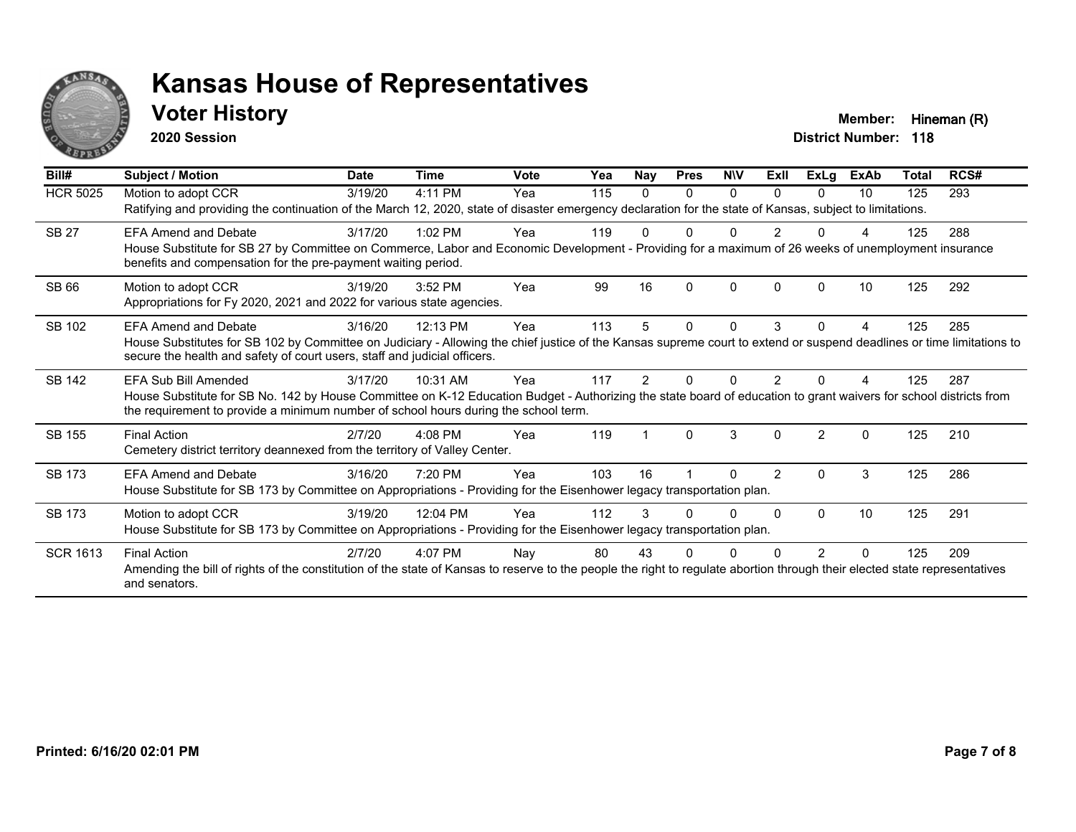

### **Voter History Member:** Hineman (R)

**2020 Session**

| Bill#           | Subject / Motion                                                                                                                                                                                                                                                                  | <b>Date</b> | <b>Time</b> | <b>Vote</b> | Yea | <b>Nay</b> | <b>Pres</b> | <b>NIV</b> | ExII           | <b>ExLg</b> | <b>ExAb</b> | <b>Total</b> | RCS# |
|-----------------|-----------------------------------------------------------------------------------------------------------------------------------------------------------------------------------------------------------------------------------------------------------------------------------|-------------|-------------|-------------|-----|------------|-------------|------------|----------------|-------------|-------------|--------------|------|
| <b>HCR 5025</b> | Motion to adopt CCR<br>Ratifying and providing the continuation of the March 12, 2020, state of disaster emergency declaration for the state of Kansas, subject to limitations.                                                                                                   | 3/19/20     | 4:11 PM     | Yea         | 115 | $\Omega$   | 0           | 0          | $\Omega$       | $\Omega$    | 10          | 125          | 293  |
| <b>SB 27</b>    | <b>EFA Amend and Debate</b><br>House Substitute for SB 27 by Committee on Commerce, Labor and Economic Development - Providing for a maximum of 26 weeks of unemployment insurance<br>benefits and compensation for the pre-payment waiting period.                               | 3/17/20     | $1:02$ PM   | Yea         | 119 |            |             |            |                |             |             | 125          | 288  |
| <b>SB 66</b>    | Motion to adopt CCR<br>Appropriations for Fy 2020, 2021 and 2022 for various state agencies.                                                                                                                                                                                      | 3/19/20     | 3:52 PM     | Yea         | 99  | 16         | $\Omega$    | $\Omega$   | $\Omega$       | ∩           | 10          | 125          | 292  |
| SB 102          | <b>EFA Amend and Debate</b><br>House Substitutes for SB 102 by Committee on Judiciary - Allowing the chief justice of the Kansas supreme court to extend or suspend deadlines or time limitations to<br>secure the health and safety of court users, staff and judicial officers. | 3/16/20     | 12:13 PM    | Yea         | 113 | 5          | 0           | $\Omega$   | 3              | $\Omega$    | 4           | 125          | 285  |
| <b>SB 142</b>   | EFA Sub Bill Amended<br>House Substitute for SB No. 142 by House Committee on K-12 Education Budget - Authorizing the state board of education to grant waivers for school districts from<br>the requirement to provide a minimum number of school hours during the school term.  | 3/17/20     | 10:31 AM    | Yea         | 117 |            |             |            |                |             |             | 125          | 287  |
| SB 155          | <b>Final Action</b><br>Cemetery district territory deannexed from the territory of Valley Center.                                                                                                                                                                                 | 2/7/20      | 4:08 PM     | Yea         | 119 |            | $\Omega$    | 3          | $\Omega$       | 2           | $\Omega$    | 125          | 210  |
| SB 173          | <b>EFA Amend and Debate</b><br>House Substitute for SB 173 by Committee on Appropriations - Providing for the Eisenhower legacy transportation plan.                                                                                                                              | 3/16/20     | 7:20 PM     | Yea         | 103 | 16         |             | U          | $\overline{2}$ | $\Omega$    | 3           | 125          | 286  |
| SB 173          | Motion to adopt CCR<br>House Substitute for SB 173 by Committee on Appropriations - Providing for the Eisenhower legacy transportation plan.                                                                                                                                      | 3/19/20     | 12:04 PM    | Yea         | 112 | 3          |             | 0          | $\Omega$       | $\Omega$    | 10          | 125          | 291  |
| <b>SCR 1613</b> | <b>Final Action</b><br>Amending the bill of rights of the constitution of the state of Kansas to reserve to the people the right to regulate abortion through their elected state representatives<br>and senators.                                                                | 2/7/20      | 4:07 PM     | Nay         | 80  | 43         |             |            |                |             |             | 125          | 209  |